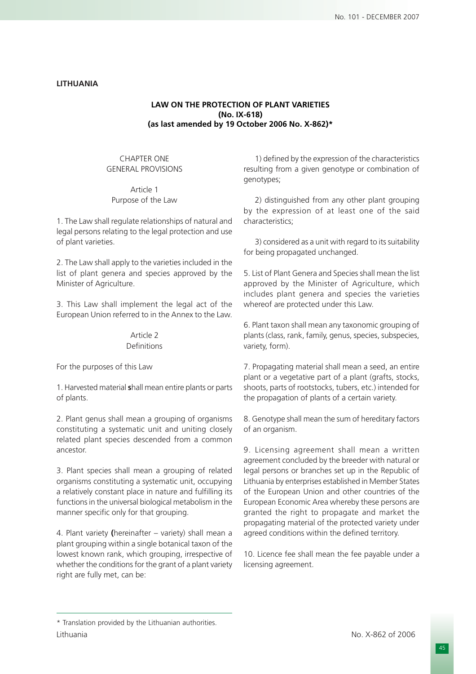## **LITHUANIA**

### **LAW ON THE PROTECTION OF PLANT VARIETIES (No. IX-618) (as last amended by 19 October 2006 No. X-862)\***

## CHAPTER ONE GENERAL PROVISIONS

Article 1 Purpose of the Law

1. The Law shall regulate relationships of natural and legal persons relating to the legal protection and use of plant varieties.

2. The Law shall apply to the varieties included in the list of plant genera and species approved by the Minister of Agriculture.

3. This Law shall implement the legal act of the European Union referred to in the Annex to the Law.

#### Article 2 Definitions

For the purposes of this Law

1. Harvested material **s**hall mean entire plants or parts of plants.

2. Plant genus shall mean a grouping of organisms constituting a systematic unit and uniting closely related plant species descended from a common ancestor.

3. Plant species shall mean a grouping of related organisms constituting a systematic unit, occupying a relatively constant place in nature and fulfilling its functions in the universal biological metabolism in the manner specific only for that grouping.

4. Plant variety **(**hereinafter – variety) shall mean a plant grouping within a single botanical taxon of the lowest known rank, which grouping, irrespective of whether the conditions for the grant of a plant variety right are fully met, can be:

1) defined by the expression of the characteristics resulting from a given genotype or combination of genotypes;

2) distinguished from any other plant grouping by the expression of at least one of the said characteristics;

3) considered as a unit with regard to its suitability for being propagated unchanged.

5. List of Plant Genera and Species shall mean the list approved by the Minister of Agriculture, which includes plant genera and species the varieties whereof are protected under this Law.

6. Plant taxon shall mean any taxonomic grouping of plants (class, rank, family, genus, species, subspecies, variety, form).

7. Propagating material shall mean a seed, an entire plant or a vegetative part of a plant (grafts, stocks, shoots, parts of rootstocks, tubers, etc.) intended for the propagation of plants of a certain variety.

8. Genotype shall mean the sum of hereditary factors of an organism.

9. Licensing agreement shall mean a written agreement concluded by the breeder with natural or legal persons or branches set up in the Republic of Lithuania by enterprises established in Member States of the European Union and other countries of the European Economic Area whereby these persons are granted the right to propagate and market the propagating material of the protected variety under agreed conditions within the defined territory.

10. Licence fee shall mean the fee payable under a licensing agreement.

<sup>\*</sup> Translation provided by the Lithuanian authorities. Lithuania No. X-862 of 2006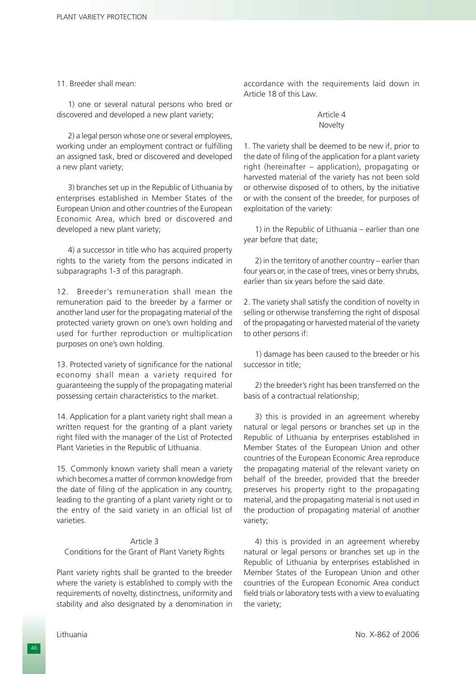11. Breeder shall mean:

1) one or several natural persons who bred or discovered and developed a new plant variety;

2) a legal person whose one or several employees, working under an employment contract or fulfilling an assigned task, bred or discovered and developed a new plant variety;

3) branches set up in the Republic of Lithuania by enterprises established in Member States of the European Union and other countries of the European Economic Area, which bred or discovered and developed a new plant variety;

4) a successor in title who has acquired property rights to the variety from the persons indicated in subparagraphs 1-3 of this paragraph.

12. Breeder's remuneration shall mean the remuneration paid to the breeder by a farmer or another land user for the propagating material of the protected variety grown on one's own holding and used for further reproduction or multiplication purposes on one's own holding.

13. Protected variety of significance for the national economy shall mean a variety required for guaranteeing the supply of the propagating material possessing certain characteristics to the market.

14. Application for a plant variety right shall mean a written request for the granting of a plant variety right filed with the manager of the List of Protected Plant Varieties in the Republic of Lithuania.

15. Commonly known variety shall mean a variety which becomes a matter of common knowledge from the date of filing of the application in any country, leading to the granting of a plant variety right or to the entry of the said variety in an official list of varieties.

#### Article 3

Conditions for the Grant of Plant Variety Rights

Plant variety rights shall be granted to the breeder where the variety is established to comply with the requirements of novelty, distinctness, uniformity and stability and also designated by a denomination in

accordance with the requirements laid down in Article 18 of this Law.

#### Article 4 Novelty

1. The variety shall be deemed to be new if, prior to the date of filing of the application for a plant variety right (hereinafter – application), propagating or harvested material of the variety has not been sold or otherwise disposed of to others, by the initiative or with the consent of the breeder, for purposes of exploitation of the variety:

1) in the Republic of Lithuania – earlier than one year before that date;

2) in the territory of another country – earlier than four years or, in the case of trees, vines or berry shrubs, earlier than six years before the said date.

2. The variety shall satisfy the condition of novelty in selling or otherwise transferring the right of disposal of the propagating or harvested material of the variety to other persons if:

1) damage has been caused to the breeder or his successor in title;

2) the breeder's right has been transferred on the basis of a contractual relationship;

3) this is provided in an agreement whereby natural or legal persons or branches set up in the Republic of Lithuania by enterprises established in Member States of the European Union and other countries of the European Economic Area reproduce the propagating material of the relevant variety on behalf of the breeder, provided that the breeder preserves his property right to the propagating material, and the propagating material is not used in the production of propagating material of another variety;

4) this is provided in an agreement whereby natural or legal persons or branches set up in the Republic of Lithuania by enterprises established in Member States of the European Union and other countries of the European Economic Area conduct field trials or laboratory tests with a view to evaluating the variety;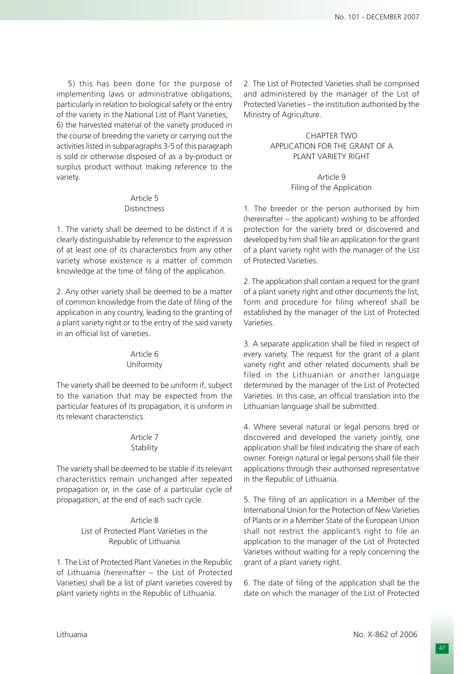5) this has been done for the purpose of implementing laws or administrative obligations, particularly in relation to biological safety or the entry of the variety in the National List of Plant Varieties; 6) the harvested material of the variety produced in the course of breeding the variety or carrying out the activities listed in subparagraphs 3-5 of this paragraph is sold or otherwise disposed of as a by-product or surplus product without making reference to the variety.

### Article 5 Distinctness

1. The variety shall be deemed to be distinct if it is clearly distinguishable by reference to the expression of at least one of its characteristics from any other variety whose existence is a matter of common knowledge at the time of filing of the application.

2. Any other variety shall be deemed to be a matter of common knowledge from the date of filing of the application in any country, leading to the granting of a plant variety right or to the entry of the said variety in an official list of varieties.

### Article 6 Uniformity

The variety shall be deemed to be uniform if, subject to the variation that may be expected from the particular features of its propagation, it is uniform in its relevant characteristics.

## Article 7 **Stability**

The variety shall be deemed to be stable if its relevant characteristics remain unchanged after repeated propagation or, in the case of a particular cycle of propagation, at the end of each such cycle.

## Article 8 List of Protected Plant Varieties in the Republic of Lithuania

1. The List of Protected Plant Varieties in the Republic of Lithuania (hereinafter – the List of Protected Varieties) shall be a list of plant varieties covered by plant variety rights in the Republic of Lithuania.

2. The List of Protected Varieties shall be comprised and administered by the manager of the List of Protected Varieties – the institution authorised by the Ministry of Agriculture.

### CHAPTER TWO APPLICATION FOR THE GRANT OF A PLANT VARIETY RIGHT

## Article 9 Filing of the Application

1. The breeder or the person authorised by him (hereinafter – the applicant) wishing to be afforded protection for the variety bred or discovered and developed by him shall file an application for the grant of a plant variety right with the manager of the List of Protected Varieties.

2. The application shall contain a request for the grant of a plant variety right and other documents the list, form and procedure for filing whereof shall be established by the manager of the List of Protected Varieties.

3. A separate application shall be filed in respect of every variety. The request for the grant of a plant variety right and other related documents shall be filed in the Lithuanian or another language determined by the manager of the List of Protected Varieties. In this case, an official translation into the Lithuanian language shall be submitted.

4. Where several natural or legal persons bred or discovered and developed the variety jointly, one application shall be filed indicating the share of each owner. Foreign natural or legal persons shall file their applications through their authorised representative in the Republic of Lithuania.

5. The filing of an application in a Member of the International Union for the Protection of New Varieties of Plants or in a Member State of the European Union shall not restrict the applicant's right to file an application to the manager of the List of Protected Varieties without waiting for a reply concerning the grant of a plant variety right.

6. The date of filing of the application shall be the date on which the manager of the List of Protected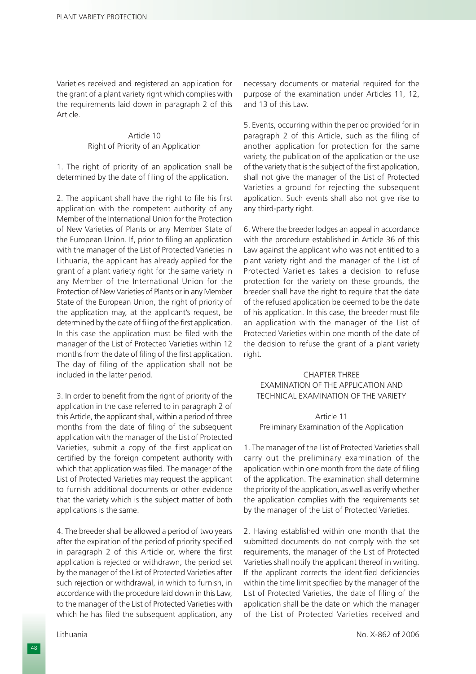Varieties received and registered an application for the grant of a plant variety right which complies with the requirements laid down in paragraph 2 of this Article.

> Article 10 Right of Priority of an Application

1. The right of priority of an application shall be determined by the date of filing of the application.

2. The applicant shall have the right to file his first application with the competent authority of any Member of the International Union for the Protection of New Varieties of Plants or any Member State of the European Union. If, prior to filing an application with the manager of the List of Protected Varieties in Lithuania, the applicant has already applied for the grant of a plant variety right for the same variety in any Member of the International Union for the Protection of New Varieties of Plants or in any Member State of the European Union, the right of priority of the application may, at the applicant's request, be determined by the date of filing of the first application. In this case the application must be filed with the manager of the List of Protected Varieties within 12 months from the date of filing of the first application. The day of filing of the application shall not be included in the latter period.

3. In order to benefit from the right of priority of the application in the case referred to in paragraph 2 of this Article, the applicant shall, within a period of three months from the date of filing of the subsequent application with the manager of the List of Protected Varieties, submit a copy of the first application certified by the foreign competent authority with which that application was filed. The manager of the List of Protected Varieties may request the applicant to furnish additional documents or other evidence that the variety which is the subject matter of both applications is the same.

4. The breeder shall be allowed a period of two years after the expiration of the period of priority specified in paragraph 2 of this Article or, where the first application is rejected or withdrawn, the period set by the manager of the List of Protected Varieties after such rejection or withdrawal, in which to furnish, in accordance with the procedure laid down in this Law, to the manager of the List of Protected Varieties with which he has filed the subsequent application, any necessary documents or material required for the purpose of the examination under Articles 11, 12, and 13 of this Law.

5. Events, occurring within the period provided for in paragraph 2 of this Article, such as the filing of another application for protection for the same variety, the publication of the application or the use of the variety that is the subject of the first application, shall not give the manager of the List of Protected Varieties a ground for rejecting the subsequent application. Such events shall also not give rise to any third-party right.

6. Where the breeder lodges an appeal in accordance with the procedure established in Article 36 of this Law against the applicant who was not entitled to a plant variety right and the manager of the List of Protected Varieties takes a decision to refuse protection for the variety on these grounds, the breeder shall have the right to require that the date of the refused application be deemed to be the date of his application. In this case, the breeder must file an application with the manager of the List of Protected Varieties within one month of the date of the decision to refuse the grant of a plant variety right.

## CHAPTER THREE EXAMINATION OF THE APPLICATION AND TECHNICAL EXAMINATION OF THE VARIETY

### Article 11 Preliminary Examination of the Application

1. The manager of the List of Protected Varieties shall carry out the preliminary examination of the application within one month from the date of filing of the application. The examination shall determine the priority of the application, as well as verify whether the application complies with the requirements set by the manager of the List of Protected Varieties.

2. Having established within one month that the submitted documents do not comply with the set requirements, the manager of the List of Protected Varieties shall notify the applicant thereof in writing. If the applicant corrects the identified deficiencies within the time limit specified by the manager of the List of Protected Varieties, the date of filing of the application shall be the date on which the manager of the List of Protected Varieties received and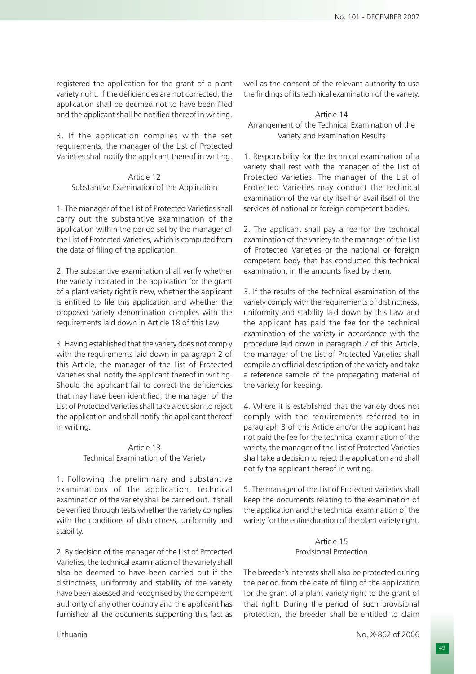registered the application for the grant of a plant variety right. If the deficiencies are not corrected, the application shall be deemed not to have been filed and the applicant shall be notified thereof in writing.

3. If the application complies with the set requirements, the manager of the List of Protected Varieties shall notify the applicant thereof in writing.

Article 12 Substantive Examination of the Application

1. The manager of the List of Protected Varieties shall carry out the substantive examination of the application within the period set by the manager of the List of Protected Varieties, which is computed from the data of filing of the application.

2. The substantive examination shall verify whether the variety indicated in the application for the grant of a plant variety right is new, whether the applicant is entitled to file this application and whether the proposed variety denomination complies with the requirements laid down in Article 18 of this Law.

3. Having established that the variety does not comply with the requirements laid down in paragraph 2 of this Article, the manager of the List of Protected Varieties shall notify the applicant thereof in writing. Should the applicant fail to correct the deficiencies that may have been identified, the manager of the List of Protected Varieties shall take a decision to reject the application and shall notify the applicant thereof in writing.

## Article 13 Technical Examination of the Variety

1. Following the preliminary and substantive examinations of the application, technical examination of the variety shall be carried out. It shall be verified through tests whether the variety complies with the conditions of distinctness, uniformity and stability.

2. By decision of the manager of the List of Protected Varieties, the technical examination of the variety shall also be deemed to have been carried out if the distinctness, uniformity and stability of the variety have been assessed and recognised by the competent authority of any other country and the applicant has furnished all the documents supporting this fact as

well as the consent of the relevant authority to use the findings of its technical examination of the variety.

## Article 14 Arrangement of the Technical Examination of the Variety and Examination Results

1. Responsibility for the technical examination of a variety shall rest with the manager of the List of Protected Varieties. The manager of the List of Protected Varieties may conduct the technical examination of the variety itself or avail itself of the services of national or foreign competent bodies.

2. The applicant shall pay a fee for the technical examination of the variety to the manager of the List of Protected Varieties or the national or foreign competent body that has conducted this technical examination, in the amounts fixed by them.

3. If the results of the technical examination of the variety comply with the requirements of distinctness, uniformity and stability laid down by this Law and the applicant has paid the fee for the technical examination of the variety in accordance with the procedure laid down in paragraph 2 of this Article, the manager of the List of Protected Varieties shall compile an official description of the variety and take a reference sample of the propagating material of the variety for keeping.

4. Where it is established that the variety does not comply with the requirements referred to in paragraph 3 of this Article and/or the applicant has not paid the fee for the technical examination of the variety, the manager of the List of Protected Varieties shall take a decision to reject the application and shall notify the applicant thereof in writing.

5. The manager of the List of Protected Varieties shall keep the documents relating to the examination of the application and the technical examination of the variety for the entire duration of the plant variety right.

### Article 15 Provisional Protection

The breeder's interests shall also be protected during the period from the date of filing of the application for the grant of a plant variety right to the grant of that right. During the period of such provisional protection, the breeder shall be entitled to claim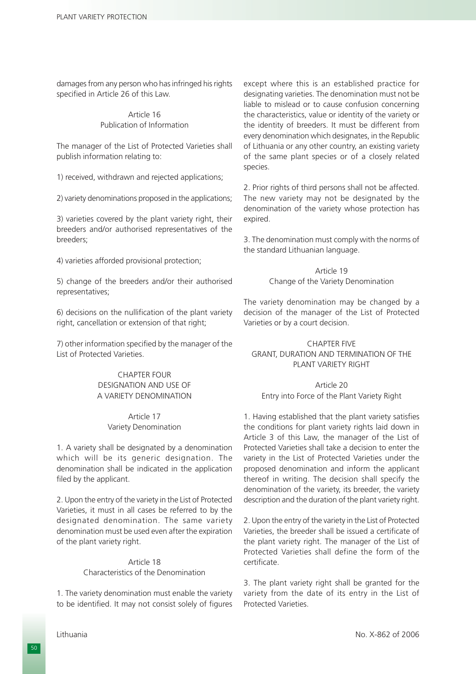damages from any person who has infringed his rights specified in Article 26 of this Law.

#### Article 16 Publication of Information

The manager of the List of Protected Varieties shall publish information relating to:

1) received, withdrawn and rejected applications;

2) variety denominations proposed in the applications;

3) varieties covered by the plant variety right, their breeders and/or authorised representatives of the breeders;

4) varieties afforded provisional protection;

5) change of the breeders and/or their authorised representatives;

6) decisions on the nullification of the plant variety right, cancellation or extension of that right;

7) other information specified by the manager of the List of Protected Varieties.

## CHAPTER FOUR DESIGNATION AND USE OF A VARIETY DENOMINATION

Article 17 Variety Denomination

1. A variety shall be designated by a denomination which will be its generic designation. The denomination shall be indicated in the application filed by the applicant.

2. Upon the entry of the variety in the List of Protected Varieties, it must in all cases be referred to by the designated denomination. The same variety denomination must be used even after the expiration of the plant variety right.

#### Article 18 Characteristics of the Denomination

1. The variety denomination must enable the variety to be identified. It may not consist solely of figures

except where this is an established practice for designating varieties. The denomination must not be liable to mislead or to cause confusion concerning the characteristics, value or identity of the variety or the identity of breeders. It must be different from every denomination which designates, in the Republic of Lithuania or any other country, an existing variety of the same plant species or of a closely related species.

2. Prior rights of third persons shall not be affected. The new variety may not be designated by the denomination of the variety whose protection has expired.

3. The denomination must comply with the norms of the standard Lithuanian language.

> Article 19 Change of the Variety Denomination

The variety denomination may be changed by a decision of the manager of the List of Protected Varieties or by a court decision.

CHAPTER FIVE GRANT, DURATION AND TERMINATION OF THE PLANT VARIETY RIGHT

Article 20 Entry into Force of the Plant Variety Right

1. Having established that the plant variety satisfies the conditions for plant variety rights laid down in Article 3 of this Law, the manager of the List of Protected Varieties shall take a decision to enter the variety in the List of Protected Varieties under the proposed denomination and inform the applicant thereof in writing. The decision shall specify the denomination of the variety, its breeder, the variety description and the duration of the plant variety right.

2. Upon the entry of the variety in the List of Protected Varieties, the breeder shall be issued a certificate of the plant variety right. The manager of the List of Protected Varieties shall define the form of the certificate.

3. The plant variety right shall be granted for the variety from the date of its entry in the List of Protected Varieties.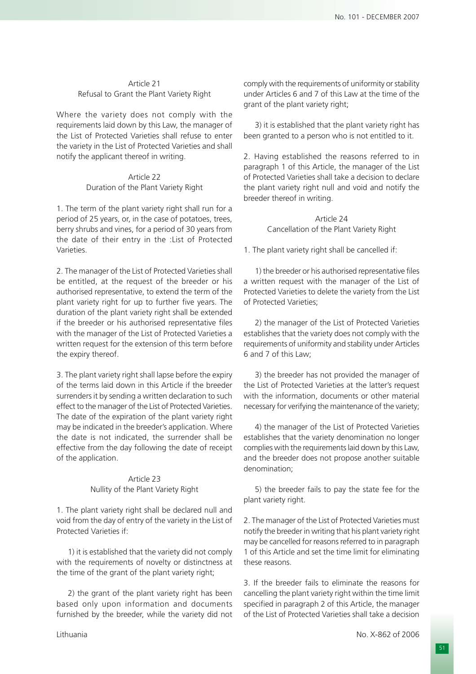## Article 21 Refusal to Grant the Plant Variety Right

Where the variety does not comply with the requirements laid down by this Law, the manager of the List of Protected Varieties shall refuse to enter the variety in the List of Protected Varieties and shall notify the applicant thereof in writing.

## Article 22 Duration of the Plant Variety Right

1. The term of the plant variety right shall run for a period of 25 years, or, in the case of potatoes, trees, berry shrubs and vines, for a period of 30 years from the date of their entry in the :List of Protected Varieties.

2. The manager of the List of Protected Varieties shall be entitled, at the request of the breeder or his authorised representative, to extend the term of the plant variety right for up to further five years. The duration of the plant variety right shall be extended if the breeder or his authorised representative files with the manager of the List of Protected Varieties a written request for the extension of this term before the expiry thereof.

3. The plant variety right shall lapse before the expiry of the terms laid down in this Article if the breeder surrenders it by sending a written declaration to such effect to the manager of the List of Protected Varieties. The date of the expiration of the plant variety right may be indicated in the breeder's application. Where the date is not indicated, the surrender shall be effective from the day following the date of receipt of the application.

## Article 23 Nullity of the Plant Variety Right

1. The plant variety right shall be declared null and void from the day of entry of the variety in the List of Protected Varieties if:

1) it is established that the variety did not comply with the requirements of novelty or distinctness at the time of the grant of the plant variety right;

2) the grant of the plant variety right has been based only upon information and documents furnished by the breeder, while the variety did not

comply with the requirements of uniformity or stability under Articles 6 and 7 of this Law at the time of the grant of the plant variety right;

3) it is established that the plant variety right has been granted to a person who is not entitled to it.

2. Having established the reasons referred to in paragraph 1 of this Article, the manager of the List of Protected Varieties shall take a decision to declare the plant variety right null and void and notify the breeder thereof in writing.

> Article 24 Cancellation of the Plant Variety Right

1. The plant variety right shall be cancelled if:

1) the breeder or his authorised representative files a written request with the manager of the List of Protected Varieties to delete the variety from the List of Protected Varieties;

2) the manager of the List of Protected Varieties establishes that the variety does not comply with the requirements of uniformity and stability under Articles 6 and 7 of this Law;

3) the breeder has not provided the manager of the List of Protected Varieties at the latter's request with the information, documents or other material necessary for verifying the maintenance of the variety;

4) the manager of the List of Protected Varieties establishes that the variety denomination no longer complies with the requirements laid down by this Law, and the breeder does not propose another suitable denomination;

5) the breeder fails to pay the state fee for the plant variety right.

2. The manager of the List of Protected Varieties must notify the breeder in writing that his plant variety right may be cancelled for reasons referred to in paragraph 1 of this Article and set the time limit for eliminating these reasons.

3. If the breeder fails to eliminate the reasons for cancelling the plant variety right within the time limit specified in paragraph 2 of this Article, the manager of the List of Protected Varieties shall take a decision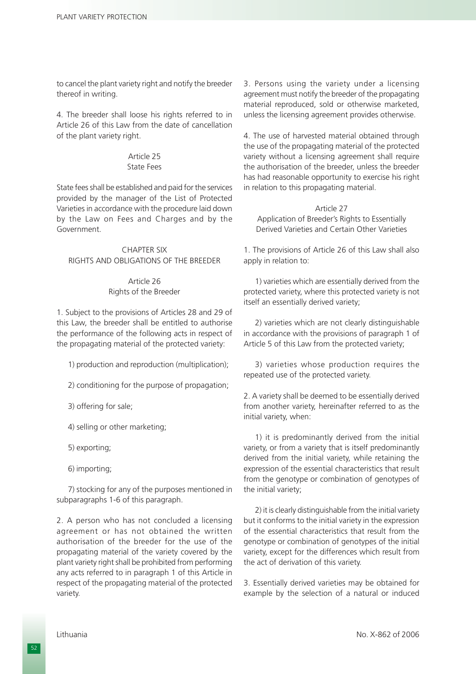to cancel the plant variety right and notify the breeder thereof in writing.

4. The breeder shall loose his rights referred to in Article 26 of this Law from the date of cancellation of the plant variety right.

#### Article 25 State Fees

State fees shall be established and paid for the services provided by the manager of the List of Protected Varieties in accordance with the procedure laid down by the Law on Fees and Charges and by the Government.

## CHAPTER SIX RIGHTS AND OBLIGATIONS OF THE BREEDER

# Article 26 Rights of the Breeder

1. Subject to the provisions of Articles 28 and 29 of this Law, the breeder shall be entitled to authorise the performance of the following acts in respect of the propagating material of the protected variety:

1) production and reproduction (multiplication);

2) conditioning for the purpose of propagation;

3) offering for sale;

4) selling or other marketing;

5) exporting;

6) importing;

7) stocking for any of the purposes mentioned in subparagraphs 1-6 of this paragraph.

2. A person who has not concluded a licensing agreement or has not obtained the written authorisation of the breeder for the use of the propagating material of the variety covered by the plant variety right shall be prohibited from performing any acts referred to in paragraph 1 of this Article in respect of the propagating material of the protected variety.

3. Persons using the variety under a licensing agreement must notify the breeder of the propagating material reproduced, sold or otherwise marketed, unless the licensing agreement provides otherwise.

4. The use of harvested material obtained through the use of the propagating material of the protected variety without a licensing agreement shall require the authorisation of the breeder, unless the breeder has had reasonable opportunity to exercise his right in relation to this propagating material.

Article 27 Application of Breeder's Rights to Essentially Derived Varieties and Certain Other Varieties

1. The provisions of Article 26 of this Law shall also apply in relation to:

1) varieties which are essentially derived from the protected variety, where this protected variety is not itself an essentially derived variety;

2) varieties which are not clearly distinguishable in accordance with the provisions of paragraph 1 of Article 5 of this Law from the protected variety;

3) varieties whose production requires the repeated use of the protected variety.

2. A variety shall be deemed to be essentially derived from another variety, hereinafter referred to as the initial variety, when:

1) it is predominantly derived from the initial variety, or from a variety that is itself predominantly derived from the initial variety, while retaining the expression of the essential characteristics that result from the genotype or combination of genotypes of the initial variety;

2) it is clearly distinguishable from the initial variety but it conforms to the initial variety in the expression of the essential characteristics that result from the genotype or combination of genotypes of the initial variety, except for the differences which result from the act of derivation of this variety.

3. Essentially derived varieties may be obtained for example by the selection of a natural or induced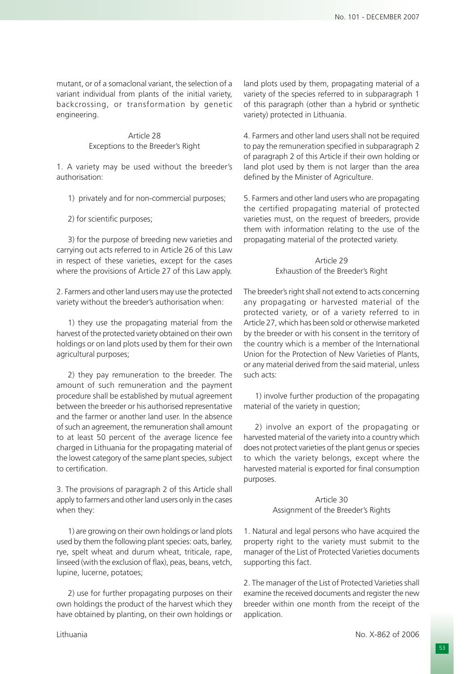mutant, or of a somaclonal variant, the selection of a variant individual from plants of the initial variety, backcrossing, or transformation by genetic engineering.

> Article 28 Exceptions to the Breeder's Right

1. A variety may be used without the breeder's authorisation:

- 1) privately and for non-commercial purposes;
- 2) for scientific purposes;

3) for the purpose of breeding new varieties and carrying out acts referred to in Article 26 of this Law in respect of these varieties, except for the cases where the provisions of Article 27 of this Law apply.

2. Farmers and other land users may use the protected variety without the breeder's authorisation when:

1) they use the propagating material from the harvest of the protected variety obtained on their own holdings or on land plots used by them for their own agricultural purposes;

2) they pay remuneration to the breeder. The amount of such remuneration and the payment procedure shall be established by mutual agreement between the breeder or his authorised representative and the farmer or another land user. In the absence of such an agreement, the remuneration shall amount to at least 50 percent of the average licence fee charged in Lithuania for the propagating material of the lowest category of the same plant species, subject to certification.

3. The provisions of paragraph 2 of this Article shall apply to farmers and other land users only in the cases when they:

1) are growing on their own holdings or land plots used by them the following plant species: oats, barley, rye, spelt wheat and durum wheat, triticale, rape, linseed (with the exclusion of flax), peas, beans, vetch, lupine, lucerne, potatoes;

2) use for further propagating purposes on their own holdings the product of the harvest which they have obtained by planting, on their own holdings or

land plots used by them, propagating material of a variety of the species referred to in subparagraph 1 of this paragraph (other than a hybrid or synthetic variety) protected in Lithuania.

4. Farmers and other land users shall not be required to pay the remuneration specified in subparagraph 2 of paragraph 2 of this Article if their own holding or land plot used by them is not larger than the area defined by the Minister of Agriculture.

5. Farmers and other land users who are propagating the certified propagating material of protected varieties must, on the request of breeders, provide them with information relating to the use of the propagating material of the protected variety.

## Article 29 Exhaustion of the Breeder's Right

The breeder's right shall not extend to acts concerning any propagating or harvested material of the protected variety, or of a variety referred to in Article 27, which has been sold or otherwise marketed by the breeder or with his consent in the territory of the country which is a member of the International Union for the Protection of New Varieties of Plants, or any material derived from the said material, unless such acts:

1) involve further production of the propagating material of the variety in question;

2) involve an export of the propagating or harvested material of the variety into a country which does not protect varieties of the plant genus or species to which the variety belongs, except where the harvested material is exported for final consumption purposes.

> Article 30 Assignment of the Breeder's Rights

1. Natural and legal persons who have acquired the property right to the variety must submit to the manager of the List of Protected Varieties documents supporting this fact.

2. The manager of the List of Protected Varieties shall examine the received documents and register the new breeder within one month from the receipt of the application.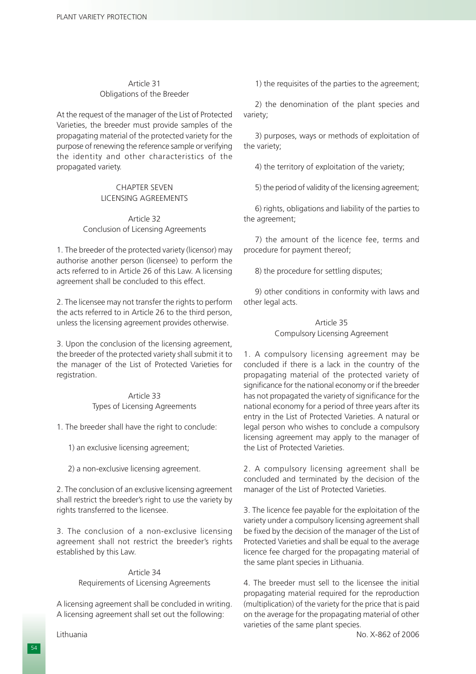## Article 31 Obligations of the Breeder

At the request of the manager of the List of Protected Varieties, the breeder must provide samples of the propagating material of the protected variety for the purpose of renewing the reference sample or verifying the identity and other characteristics of the propagated variety.

## CHAPTER SEVEN LICENSING AGREEMENTS

## Article 32 Conclusion of Licensing Agreements

1. The breeder of the protected variety (licensor) may authorise another person (licensee) to perform the acts referred to in Article 26 of this Law. A licensing agreement shall be concluded to this effect.

2. The licensee may not transfer the rights to perform the acts referred to in Article 26 to the third person, unless the licensing agreement provides otherwise.

3. Upon the conclusion of the licensing agreement, the breeder of the protected variety shall submit it to the manager of the List of Protected Varieties for registration.

### Article 33 Types of Licensing Agreements

1. The breeder shall have the right to conclude:

1) an exclusive licensing agreement;

2) a non-exclusive licensing agreement.

2. The conclusion of an exclusive licensing agreement shall restrict the breeder's right to use the variety by rights transferred to the licensee.

3. The conclusion of a non-exclusive licensing agreement shall not restrict the breeder's rights established by this Law.

## Article 34 Requirements of Licensing Agreements

A licensing agreement shall be concluded in writing. A licensing agreement shall set out the following:

1) the requisites of the parties to the agreement;

2) the denomination of the plant species and variety;

3) purposes, ways or methods of exploitation of the variety;

4) the territory of exploitation of the variety;

5) the period of validity of the licensing agreement;

6) rights, obligations and liability of the parties to the agreement;

7) the amount of the licence fee, terms and procedure for payment thereof;

8) the procedure for settling disputes;

9) other conditions in conformity with laws and other legal acts.

## Article 35 Compulsory Licensing Agreement

1. A compulsory licensing agreement may be concluded if there is a lack in the country of the propagating material of the protected variety of significance for the national economy or if the breeder has not propagated the variety of significance for the national economy for a period of three years after its entry in the List of Protected Varieties. A natural or legal person who wishes to conclude a compulsory licensing agreement may apply to the manager of the List of Protected Varieties.

2. A compulsory licensing agreement shall be concluded and terminated by the decision of the manager of the List of Protected Varieties.

3. The licence fee payable for the exploitation of the variety under a compulsory licensing agreement shall be fixed by the decision of the manager of the List of Protected Varieties and shall be equal to the average licence fee charged for the propagating material of the same plant species in Lithuania.

4. The breeder must sell to the licensee the initial propagating material required for the reproduction (multiplication) of the variety for the price that is paid on the average for the propagating material of other varieties of the same plant species.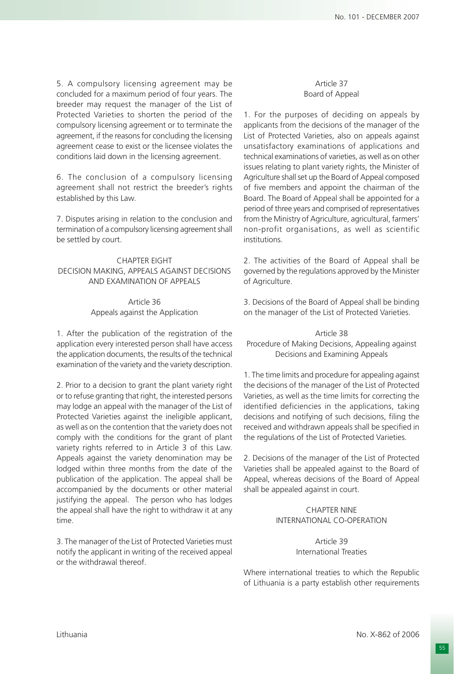5. A compulsory licensing agreement may be concluded for a maximum period of four years. The breeder may request the manager of the List of Protected Varieties to shorten the period of the compulsory licensing agreement or to terminate the agreement, if the reasons for concluding the licensing agreement cease to exist or the licensee violates the conditions laid down in the licensing agreement.

6. The conclusion of a compulsory licensing agreement shall not restrict the breeder's rights established by this Law.

7. Disputes arising in relation to the conclusion and termination of a compulsory licensing agreement shall be settled by court.

#### CHAPTER EIGHT DECISION MAKING, APPEALS AGAINST DECISIONS AND EXAMINATION OF APPEALS

#### Article 36 Appeals against the Application

1. After the publication of the registration of the application every interested person shall have access the application documents, the results of the technical examination of the variety and the variety description.

2. Prior to a decision to grant the plant variety right or to refuse granting that right, the interested persons may lodge an appeal with the manager of the List of Protected Varieties against the ineligible applicant, as well as on the contention that the variety does not comply with the conditions for the grant of plant variety rights referred to in Article 3 of this Law. Appeals against the variety denomination may be lodged within three months from the date of the publication of the application. The appeal shall be accompanied by the documents or other material justifying the appeal. The person who has lodges the appeal shall have the right to withdraw it at any time.

3. The manager of the List of Protected Varieties must notify the applicant in writing of the received appeal or the withdrawal thereof.

### Article 37 Board of Appeal

1. For the purposes of deciding on appeals by applicants from the decisions of the manager of the List of Protected Varieties, also on appeals against unsatisfactory examinations of applications and technical examinations of varieties, as well as on other issues relating to plant variety rights, the Minister of Agriculture shall set up the Board of Appeal composed of five members and appoint the chairman of the Board. The Board of Appeal shall be appointed for a period of three years and comprised of representatives from the Ministry of Agriculture, agricultural, farmers' non-profit organisations, as well as scientific institutions.

2. The activities of the Board of Appeal shall be governed by the regulations approved by the Minister of Agriculture.

3. Decisions of the Board of Appeal shall be binding on the manager of the List of Protected Varieties.

Article 38 Procedure of Making Decisions, Appealing against Decisions and Examining Appeals

1. The time limits and procedure for appealing against the decisions of the manager of the List of Protected Varieties, as well as the time limits for correcting the identified deficiencies in the applications, taking decisions and notifying of such decisions, filing the received and withdrawn appeals shall be specified in the regulations of the List of Protected Varieties.

2. Decisions of the manager of the List of Protected Varieties shall be appealed against to the Board of Appeal, whereas decisions of the Board of Appeal shall be appealed against in court.

## CHAPTER NINE INTERNATIONAL CO-OPERATION

### Article 39 International Treaties

Where international treaties to which the Republic of Lithuania is a party establish other requirements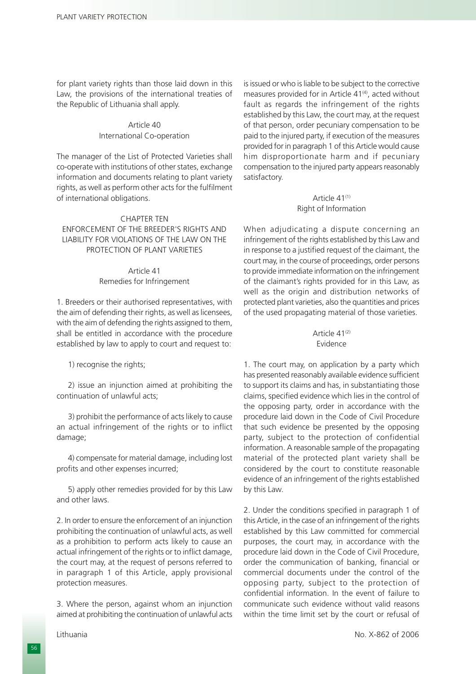for plant variety rights than those laid down in this Law, the provisions of the international treaties of the Republic of Lithuania shall apply.

## Article 40 International Co-operation

The manager of the List of Protected Varieties shall co-operate with institutions of other states, exchange information and documents relating to plant variety rights, as well as perform other acts for the fulfilment of international obligations.

#### CHAPTER TEN

### ENFORCEMENT OF THE BREEDER'S RIGHTS AND LIABILITY FOR VIOLATIONS OF THE LAW ON THE PROTECTION OF PLANT VARIETIES

#### Article 41 Remedies for Infringement

1. Breeders or their authorised representatives, with the aim of defending their rights, as well as licensees, with the aim of defending the rights assigned to them, shall be entitled in accordance with the procedure established by law to apply to court and request to:

1) recognise the rights;

2) issue an injunction aimed at prohibiting the continuation of unlawful acts;

3) prohibit the performance of acts likely to cause an actual infringement of the rights or to inflict damage;

4) compensate for material damage, including lost profits and other expenses incurred;

5) apply other remedies provided for by this Law and other laws.

2. In order to ensure the enforcement of an injunction prohibiting the continuation of unlawful acts, as well as a prohibition to perform acts likely to cause an actual infringement of the rights or to inflict damage, the court may, at the request of persons referred to in paragraph 1 of this Article, apply provisional protection measures.

3. Where the person, against whom an injunction aimed at prohibiting the continuation of unlawful acts is issued or who is liable to be subject to the corrective measures provided for in Article 41<sup>(4)</sup>, acted without fault as regards the infringement of the rights established by this Law, the court may, at the request of that person, order pecuniary compensation to be paid to the injured party, if execution of the measures provided for in paragraph 1 of this Article would cause him disproportionate harm and if pecuniary compensation to the injured party appears reasonably satisfactory.

#### Article 41<sup>(1)</sup> Right of Information

When adjudicating a dispute concerning an infringement of the rights established by this Law and in response to a justified request of the claimant, the court may, in the course of proceedings, order persons to provide immediate information on the infringement of the claimant's rights provided for in this Law, as well as the origin and distribution networks of protected plant varieties, also the quantities and prices of the used propagating material of those varieties.

#### Article  $41^{(2)}$ Evidence

1. The court may, on application by a party which has presented reasonably available evidence sufficient to support its claims and has, in substantiating those claims, specified evidence which lies in the control of the opposing party, order in accordance with the procedure laid down in the Code of Civil Procedure that such evidence be presented by the opposing party, subject to the protection of confidential information. A reasonable sample of the propagating material of the protected plant variety shall be considered by the court to constitute reasonable evidence of an infringement of the rights established by this Law.

2. Under the conditions specified in paragraph 1 of this Article, in the case of an infringement of the rights established by this Law committed for commercial purposes, the court may, in accordance with the procedure laid down in the Code of Civil Procedure, order the communication of banking, financial or commercial documents under the control of the opposing party, subject to the protection of confidential information. In the event of failure to communicate such evidence without valid reasons within the time limit set by the court or refusal of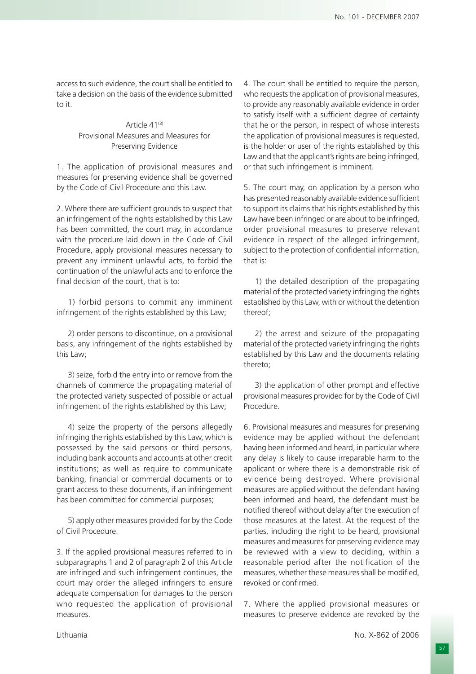access to such evidence, the court shall be entitled to take a decision on the basis of the evidence submitted to it.

## Article 41<sup>(3)</sup> Provisional Measures and Measures for Preserving Evidence

1. The application of provisional measures and measures for preserving evidence shall be governed by the Code of Civil Procedure and this Law.

2. Where there are sufficient grounds to suspect that an infringement of the rights established by this Law has been committed, the court may, in accordance with the procedure laid down in the Code of Civil Procedure, apply provisional measures necessary to prevent any imminent unlawful acts, to forbid the continuation of the unlawful acts and to enforce the final decision of the court, that is to:

1) forbid persons to commit any imminent infringement of the rights established by this Law;

2) order persons to discontinue, on a provisional basis, any infringement of the rights established by this Law;

3) seize, forbid the entry into or remove from the channels of commerce the propagating material of the protected variety suspected of possible or actual infringement of the rights established by this Law;

4) seize the property of the persons allegedly infringing the rights established by this Law, which is possessed by the said persons or third persons, including bank accounts and accounts at other credit institutions; as well as require to communicate banking, financial or commercial documents or to grant access to these documents, if an infringement has been committed for commercial purposes;

5) apply other measures provided for by the Code of Civil Procedure.

3. If the applied provisional measures referred to in subparagraphs 1 and 2 of paragraph 2 of this Article are infringed and such infringement continues, the court may order the alleged infringers to ensure adequate compensation for damages to the person who requested the application of provisional measures.

4. The court shall be entitled to require the person, who requests the application of provisional measures, to provide any reasonably available evidence in order to satisfy itself with a sufficient degree of certainty that he or the person, in respect of whose interests the application of provisional measures is requested, is the holder or user of the rights established by this Law and that the applicant's rights are being infringed, or that such infringement is imminent.

5. The court may, on application by a person who has presented reasonably available evidence sufficient to support its claims that his rights established by this Law have been infringed or are about to be infringed, order provisional measures to preserve relevant evidence in respect of the alleged infringement, subject to the protection of confidential information, that is:

1) the detailed description of the propagating material of the protected variety infringing the rights established by this Law, with or without the detention thereof;

2) the arrest and seizure of the propagating material of the protected variety infringing the rights established by this Law and the documents relating thereto;

3) the application of other prompt and effective provisional measures provided for by the Code of Civil Procedure.

6. Provisional measures and measures for preserving evidence may be applied without the defendant having been informed and heard, in particular where any delay is likely to cause irreparable harm to the applicant or where there is a demonstrable risk of evidence being destroyed. Where provisional measures are applied without the defendant having been informed and heard, the defendant must be notified thereof without delay after the execution of those measures at the latest. At the request of the parties, including the right to be heard, provisional measures and measures for preserving evidence may be reviewed with a view to deciding, within a reasonable period after the notification of the measures, whether these measures shall be modified, revoked or confirmed.

7. Where the applied provisional measures or measures to preserve evidence are revoked by the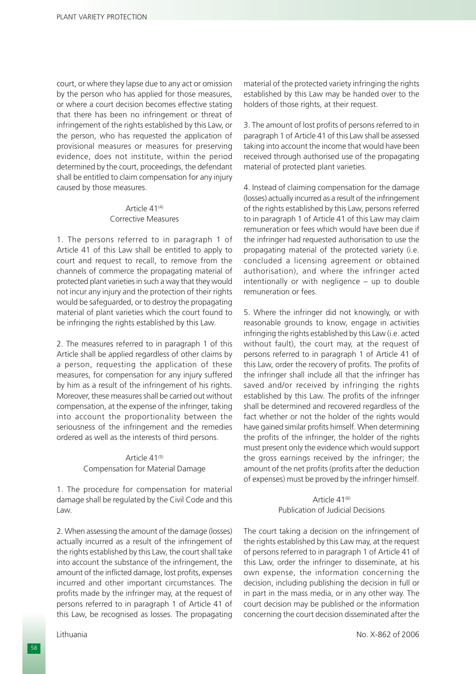court, or where they lapse due to any act or omission by the person who has applied for those measures, or where a court decision becomes effective stating that there has been no infringement or threat of infringement of the rights established by this Law, or the person, who has requested the application of provisional measures or measures for preserving evidence, does not institute, within the period determined by the court, proceedings, the defendant shall be entitled to claim compensation for any injury caused by those measures.

### Article  $41^{(4)}$ Corrective Measures

1. The persons referred to in paragraph 1 of Article 41 of this Law shall be entitled to apply to court and request to recall, to remove from the channels of commerce the propagating material of protected plant varieties in such a way that they would not incur any injury and the protection of their rights would be safeguarded, or to destroy the propagating material of plant varieties which the court found to be infringing the rights established by this Law.

2. The measures referred to in paragraph 1 of this Article shall be applied regardless of other claims by a person, requesting the application of these measures, for compensation for any injury suffered by him as a result of the infringement of his rights. Moreover, these measures shall be carried out without compensation, at the expense of the infringer, taking into account the proportionality between the seriousness of the infringement and the remedies ordered as well as the interests of third persons.

## Article 41<sup>(5)</sup> Compensation for Material Damage

1. The procedure for compensation for material damage shall be regulated by the Civil Code and this Law.

2. When assessing the amount of the damage (losses) actually incurred as a result of the infringement of the rights established by this Law, the court shall take into account the substance of the infringement, the amount of the inflicted damage, lost profits, expenses incurred and other important circumstances. The profits made by the infringer may, at the request of persons referred to in paragraph 1 of Article 41 of this Law, be recognised as losses. The propagating

material of the protected variety infringing the rights established by this Law may be handed over to the holders of those rights, at their request.

3. The amount of lost profits of persons referred to in paragraph 1 of Article 41 of this Law shall be assessed taking into account the income that would have been received through authorised use of the propagating material of protected plant varieties.

4. Instead of claiming compensation for the damage (losses) actually incurred as a result of the infringement of the rights established by this Law, persons referred to in paragraph 1 of Article 41 of this Law may claim remuneration or fees which would have been due if the infringer had requested authorisation to use the propagating material of the protected variety (i.e. concluded a licensing agreement or obtained authorisation), and where the infringer acted intentionally or with negligence – up to double remuneration or fees.

5. Where the infringer did not knowingly, or with reasonable grounds to know, engage in activities infringing the rights established by this Law (i.e. acted without fault), the court may, at the request of persons referred to in paragraph 1 of Article 41 of this Law, order the recovery of profits. The profits of the infringer shall include all that the infringer has saved and/or received by infringing the rights established by this Law. The profits of the infringer shall be determined and recovered regardless of the fact whether or not the holder of the rights would have gained similar profits himself. When determining the profits of the infringer, the holder of the rights must present only the evidence which would support the gross earnings received by the infringer; the amount of the net profits (profits after the deduction of expenses) must be proved by the infringer himself.

### $Artich 41<sup>(6)</sup>$ Publication of Judicial Decisions

The court taking a decision on the infringement of the rights established by this Law may, at the request of persons referred to in paragraph 1 of Article 41 of this Law, order the infringer to disseminate, at his own expense, the information concerning the decision, including publishing the decision in full or in part in the mass media, or in any other way. The court decision may be published or the information concerning the court decision disseminated after the